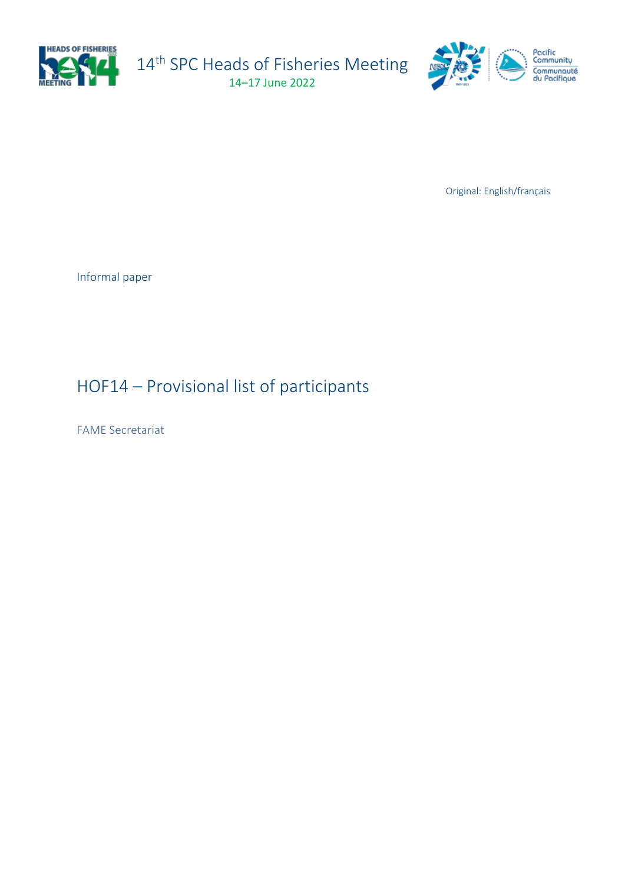

14<sup>th</sup> SPC Heads of Fisheries Meeting 14–17 June 2022



Original: English/français

Informal paper

## HOF14 – Provisional list of participants

FAME Secretariat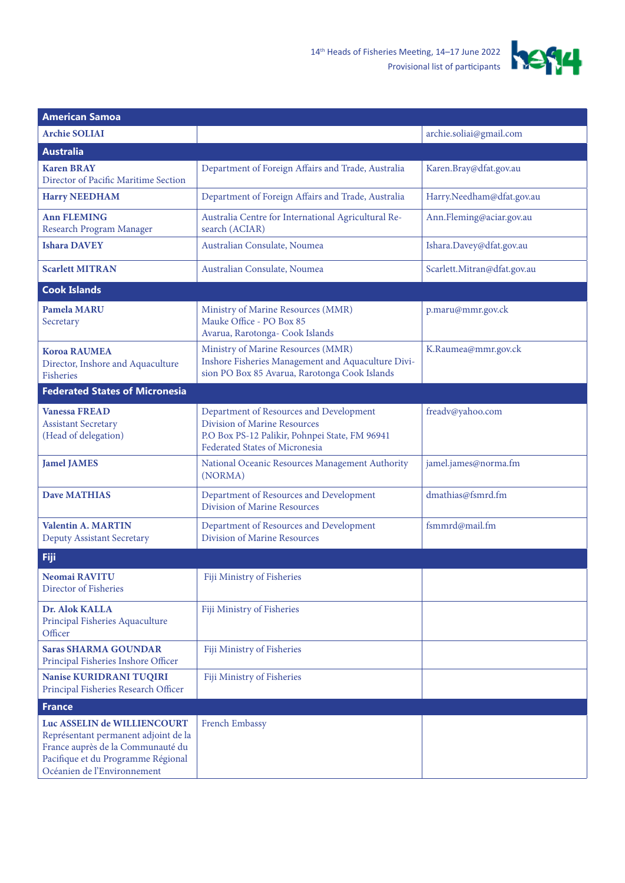

| <b>American Samoa</b>                                                                                                                                                         |                                                                                                                                                             |                             |  |
|-------------------------------------------------------------------------------------------------------------------------------------------------------------------------------|-------------------------------------------------------------------------------------------------------------------------------------------------------------|-----------------------------|--|
| <b>Archie SOLIAI</b>                                                                                                                                                          |                                                                                                                                                             | archie.soliai@gmail.com     |  |
| <b>Australia</b>                                                                                                                                                              |                                                                                                                                                             |                             |  |
| <b>Karen BRAY</b><br>Director of Pacific Maritime Section                                                                                                                     | Department of Foreign Affairs and Trade, Australia                                                                                                          | Karen.Bray@dfat.gov.au      |  |
| <b>Harry NEEDHAM</b>                                                                                                                                                          | Department of Foreign Affairs and Trade, Australia                                                                                                          | Harry.Needham@dfat.gov.au   |  |
| <b>Ann FLEMING</b><br>Research Program Manager                                                                                                                                | Australia Centre for International Agricultural Re-<br>search (ACIAR)                                                                                       | Ann.Fleming@aciar.gov.au    |  |
| <b>Ishara DAVEY</b>                                                                                                                                                           | Australian Consulate, Noumea                                                                                                                                | Ishara.Davey@dfat.gov.au    |  |
| <b>Scarlett MITRAN</b>                                                                                                                                                        | Australian Consulate, Noumea                                                                                                                                | Scarlett.Mitran@dfat.gov.au |  |
| <b>Cook Islands</b>                                                                                                                                                           |                                                                                                                                                             |                             |  |
| <b>Pamela MARU</b><br>Secretary                                                                                                                                               | Ministry of Marine Resources (MMR)<br>Mauke Office - PO Box 85<br>Avarua, Rarotonga- Cook Islands                                                           | p.maru@mmr.gov.ck           |  |
| <b>Koroa RAUMEA</b><br>Director, Inshore and Aquaculture<br><b>Fisheries</b>                                                                                                  | Ministry of Marine Resources (MMR)<br>Inshore Fisheries Management and Aquaculture Divi-<br>sion PO Box 85 Avarua, Rarotonga Cook Islands                   | K.Raumea@mmr.gov.ck         |  |
| <b>Federated States of Micronesia</b>                                                                                                                                         |                                                                                                                                                             |                             |  |
| <b>Vanessa FREAD</b><br><b>Assistant Secretary</b><br>(Head of delegation)                                                                                                    | Department of Resources and Development<br>Division of Marine Resources<br>P.O Box PS-12 Palikir, Pohnpei State, FM 96941<br>Federated States of Micronesia | freadv@yahoo.com            |  |
| <b>Jamel JAMES</b>                                                                                                                                                            | National Oceanic Resources Management Authority<br>(NORMA)                                                                                                  | jamel.james@norma.fm        |  |
| <b>Dave MATHIAS</b>                                                                                                                                                           | Department of Resources and Development<br>Division of Marine Resources                                                                                     | dmathias@fsmrd.fm           |  |
| <b>Valentin A. MARTIN</b><br><b>Deputy Assistant Secretary</b>                                                                                                                | Department of Resources and Development<br>Division of Marine Resources                                                                                     | fsmmrd@mail.fm              |  |
| <b>Fiji</b>                                                                                                                                                                   |                                                                                                                                                             |                             |  |
| Neomai RAVITU<br>Director of Fisheries                                                                                                                                        | Fiji Ministry of Fisheries                                                                                                                                  |                             |  |
| Dr. Alok KALLA<br>Principal Fisheries Aquaculture<br>Officer                                                                                                                  | Fiji Ministry of Fisheries                                                                                                                                  |                             |  |
| <b>Saras SHARMA GOUNDAR</b><br>Principal Fisheries Inshore Officer                                                                                                            | Fiji Ministry of Fisheries                                                                                                                                  |                             |  |
| <b>Nanise KURIDRANI TUQIRI</b><br>Principal Fisheries Research Officer                                                                                                        | Fiji Ministry of Fisheries                                                                                                                                  |                             |  |
| <b>France</b>                                                                                                                                                                 |                                                                                                                                                             |                             |  |
| Luc ASSELIN de WILLIENCOURT<br>Représentant permanent adjoint de la<br>France auprès de la Communauté du<br>Pacifique et du Programme Régional<br>Océanien de l'Environnement | French Embassy                                                                                                                                              |                             |  |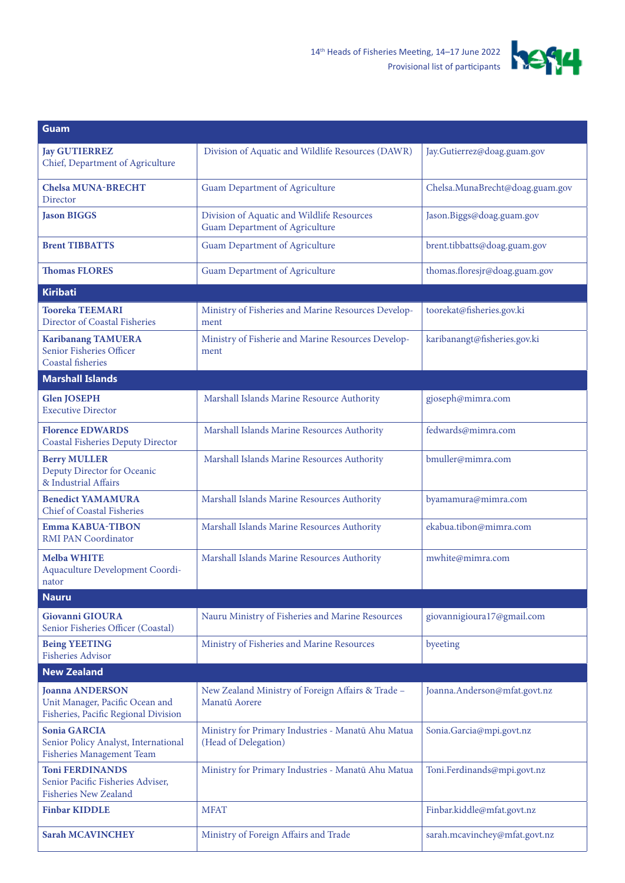

| <b>Guam</b>                                                                                       |                                                                                     |                                 |
|---------------------------------------------------------------------------------------------------|-------------------------------------------------------------------------------------|---------------------------------|
| <b>Jay GUTIERREZ</b><br>Chief, Department of Agriculture                                          | Division of Aquatic and Wildlife Resources (DAWR)                                   | Jay.Gutierrez@doag.guam.gov     |
| <b>Chelsa MUNA-BRECHT</b><br>Director                                                             | Guam Department of Agriculture                                                      | Chelsa.MunaBrecht@doag.guam.gov |
| <b>Jason BIGGS</b>                                                                                | Division of Aquatic and Wildlife Resources<br><b>Guam Department of Agriculture</b> | Jason.Biggs@doag.guam.gov       |
| <b>Brent TIBBATTS</b>                                                                             | <b>Guam Department of Agriculture</b>                                               | brent.tibbatts@doag.guam.gov    |
| <b>Thomas FLORES</b>                                                                              | <b>Guam Department of Agriculture</b>                                               | thomas.floresjr@doag.guam.gov   |
| <b>Kiribati</b>                                                                                   |                                                                                     |                                 |
| <b>Tooreka TEEMARI</b><br>Director of Coastal Fisheries                                           | Ministry of Fisheries and Marine Resources Develop-<br>ment                         | toorekat@fisheries.gov.ki       |
| <b>Karibanang TAMUERA</b><br>Senior Fisheries Officer<br>Coastal fisheries                        | Ministry of Fisherie and Marine Resources Develop-<br>ment                          | karibanangt@fisheries.gov.ki    |
| <b>Marshall Islands</b>                                                                           |                                                                                     |                                 |
| <b>Glen JOSEPH</b><br><b>Executive Director</b>                                                   | Marshall Islands Marine Resource Authority                                          | gjoseph@mimra.com               |
| <b>Florence EDWARDS</b><br><b>Coastal Fisheries Deputy Director</b>                               | Marshall Islands Marine Resources Authority                                         | fedwards@mimra.com              |
| <b>Berry MULLER</b><br>Deputy Director for Oceanic<br>& Industrial Affairs                        | Marshall Islands Marine Resources Authority                                         | bmuller@mimra.com               |
| <b>Benedict YAMAMURA</b><br><b>Chief of Coastal Fisheries</b>                                     | Marshall Islands Marine Resources Authority                                         | byamamura@mimra.com             |
| <b>Emma KABUA-TIBON</b><br><b>RMI PAN Coordinator</b>                                             | Marshall Islands Marine Resources Authority                                         | ekabua.tibon@mimra.com          |
| <b>Melba WHITE</b><br>Aquaculture Development Coordi-<br>nator                                    | Marshall Islands Marine Resources Authority                                         | mwhite@mimra.com                |
| <b>Nauru</b>                                                                                      |                                                                                     |                                 |
| <b>Giovanni GIOURA</b><br>Senior Fisheries Officer (Coastal)                                      | Nauru Ministry of Fisheries and Marine Resources                                    | giovannigioura17@gmail.com      |
| <b>Being YEETING</b><br><b>Fisheries Advisor</b>                                                  | Ministry of Fisheries and Marine Resources                                          | byeeting                        |
| <b>New Zealand</b>                                                                                |                                                                                     |                                 |
| <b>Joanna ANDERSON</b><br>Unit Manager, Pacific Ocean and<br>Fisheries, Pacific Regional Division | New Zealand Ministry of Foreign Affairs & Trade -<br>Manatū Aorere                  | Joanna.Anderson@mfat.govt.nz    |
| <b>Sonia GARCIA</b><br>Senior Policy Analyst, International<br>Fisheries Management Team          | Ministry for Primary Industries - Manatū Ahu Matua<br>(Head of Delegation)          | Sonia.Garcia@mpi.govt.nz        |
| <b>Toni FERDINANDS</b><br>Senior Pacific Fisheries Adviser,<br><b>Fisheries New Zealand</b>       | Ministry for Primary Industries - Manatū Ahu Matua                                  | Toni.Ferdinands@mpi.govt.nz     |
| <b>Finbar KIDDLE</b>                                                                              | <b>MFAT</b>                                                                         | Finbar.kiddle@mfat.govt.nz      |
| <b>Sarah MCAVINCHEY</b>                                                                           | Ministry of Foreign Affairs and Trade                                               | sarah.mcavinchey@mfat.govt.nz   |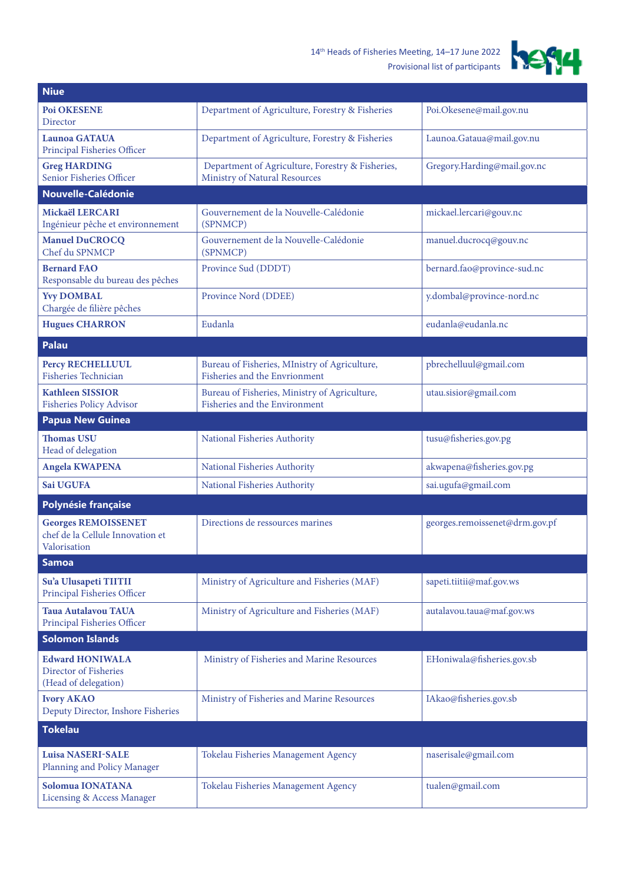## 14th Heads of Fisheries Meeting, 14–17 June 2022 Provisional list of participants



| <b>Niue</b>                                                                    |                                                                                   |                                |
|--------------------------------------------------------------------------------|-----------------------------------------------------------------------------------|--------------------------------|
| <b>Poi OKESENE</b><br>Director                                                 | Department of Agriculture, Forestry & Fisheries                                   | Poi.Okesene@mail.gov.nu        |
| <b>Launoa GATAUA</b><br>Principal Fisheries Officer                            | Department of Agriculture, Forestry & Fisheries                                   | Launoa.Gataua@mail.gov.nu      |
| <b>Greg HARDING</b><br>Senior Fisheries Officer                                | Department of Agriculture, Forestry & Fisheries,<br>Ministry of Natural Resources | Gregory.Harding@mail.gov.nc    |
| <b>Nouvelle-Calédonie</b>                                                      |                                                                                   |                                |
| Mickaël LERCARI<br>Ingénieur pêche et environnement                            | Gouvernement de la Nouvelle-Calédonie<br>(SPNMCP)                                 | mickael.lercari@gouv.nc        |
| <b>Manuel DuCROCQ</b><br>Chef du SPNMCP                                        | Gouvernement de la Nouvelle-Calédonie<br>(SPNMCP)                                 | manuel.ducrocq@gouv.nc         |
| <b>Bernard FAO</b><br>Responsable du bureau des pêches                         | Province Sud (DDDT)                                                               | bernard.fao@province-sud.nc    |
| <b>Yvy DOMBAL</b><br>Chargée de filière pêches                                 | Province Nord (DDEE)                                                              | y.dombal@province-nord.nc      |
| <b>Hugues CHARRON</b>                                                          | Eudanla                                                                           | eudanla@eudanla.nc             |
| <b>Palau</b>                                                                   |                                                                                   |                                |
| <b>Percy RECHELLUUL</b><br><b>Fisheries Technician</b>                         | Bureau of Fisheries, MInistry of Agriculture,<br>Fisheries and the Envrionment    | pbrechelluul@gmail.com         |
| <b>Kathleen SISSIOR</b><br><b>Fisheries Policy Advisor</b>                     | Bureau of Fisheries, Ministry of Agriculture,<br>Fisheries and the Environment    | utau.sisior@gmail.com          |
| <b>Papua New Guinea</b>                                                        |                                                                                   |                                |
| <b>Thomas USU</b><br>Head of delegation                                        | National Fisheries Authority                                                      | tusu@fisheries.gov.pg          |
| <b>Angela KWAPENA</b>                                                          | National Fisheries Authority                                                      | akwapena@fisheries.gov.pg      |
| Sai UGUFA                                                                      | National Fisheries Authority                                                      | sai.ugufa@gmail.com            |
| Polynésie française                                                            |                                                                                   |                                |
| <b>Georges REMOISSENET</b><br>chef de la Cellule Innovation et<br>Valorisation | Directions de ressources marines                                                  | georges.remoissenet@drm.gov.pf |
| <b>Samoa</b>                                                                   |                                                                                   |                                |
| Su'a Ulusapeti TIITII<br>Principal Fisheries Officer                           | Ministry of Agriculture and Fisheries (MAF)                                       | sapeti.tiitii@maf.gov.ws       |
| <b>Taua Autalavou TAUA</b><br>Principal Fisheries Officer                      | Ministry of Agriculture and Fisheries (MAF)                                       | autalavou.taua@maf.gov.ws      |
| <b>Solomon Islands</b>                                                         |                                                                                   |                                |
| <b>Edward HONIWALA</b><br>Director of Fisheries<br>(Head of delegation)        | Ministry of Fisheries and Marine Resources                                        | EHoniwala@fisheries.gov.sb     |
| <b>Ivory AKAO</b><br>Deputy Director, Inshore Fisheries                        | Ministry of Fisheries and Marine Resources                                        | IAkao@fisheries.gov.sb         |
| <b>Tokelau</b>                                                                 |                                                                                   |                                |
| <b>Luisa NASERI-SALE</b><br>Planning and Policy Manager                        | Tokelau Fisheries Management Agency                                               | naserisale@gmail.com           |
| Solomua IONATANA<br><b>Licensing &amp; Access Manager</b>                      | Tokelau Fisheries Management Agency                                               | tualen@gmail.com               |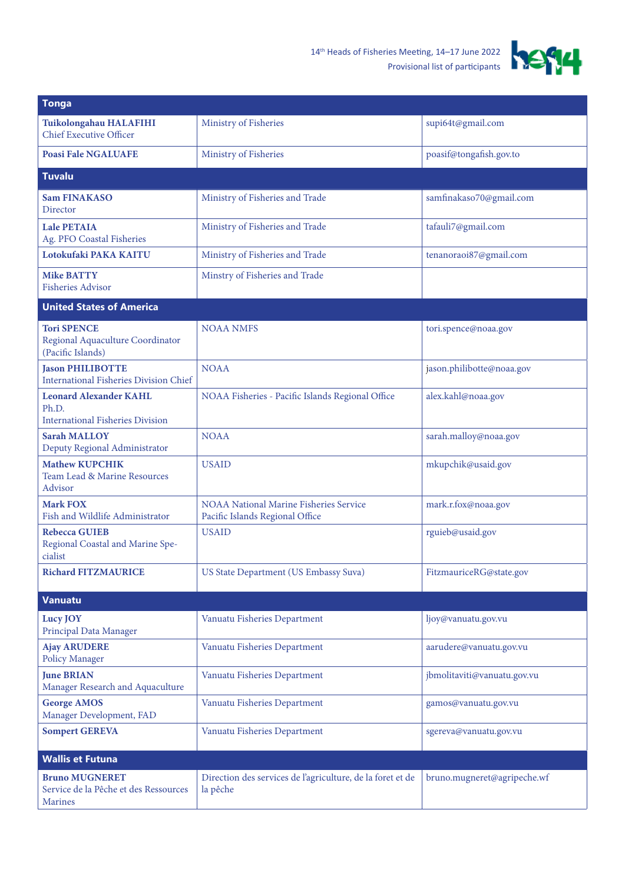

| <b>Tonga</b>                                                                      |                                                                                  |                             |
|-----------------------------------------------------------------------------------|----------------------------------------------------------------------------------|-----------------------------|
| Tuikolongahau HALAFIHI<br><b>Chief Executive Officer</b>                          | Ministry of Fisheries                                                            | supi64t@gmail.com           |
| <b>Poasi Fale NGALUAFE</b>                                                        | Ministry of Fisheries                                                            | poasif@tongafish.gov.to     |
| <b>Tuvalu</b>                                                                     |                                                                                  |                             |
| <b>Sam FINAKASO</b><br><b>Director</b>                                            | Ministry of Fisheries and Trade                                                  | samfinakaso70@gmail.com     |
| <b>Lale PETAIA</b><br>Ag. PFO Coastal Fisheries                                   | Ministry of Fisheries and Trade                                                  | tafauli7@gmail.com          |
| Lotokufaki PAKA KAITU                                                             | Ministry of Fisheries and Trade                                                  | tenanoraoi87@gmail.com      |
| <b>Mike BATTY</b><br><b>Fisheries Advisor</b>                                     | Minstry of Fisheries and Trade                                                   |                             |
| <b>United States of America</b>                                                   |                                                                                  |                             |
| <b>Tori SPENCE</b><br>Regional Aquaculture Coordinator<br>(Pacific Islands)       | <b>NOAA NMFS</b>                                                                 | tori.spence@noaa.gov        |
| <b>Iason PHILIBOTTE</b><br><b>International Fisheries Division Chief</b>          | <b>NOAA</b>                                                                      | jason.philibotte@noaa.gov   |
| <b>Leonard Alexander KAHL</b><br>Ph.D.<br><b>International Fisheries Division</b> | NOAA Fisheries - Pacific Islands Regional Office                                 | alex.kahl@noaa.gov          |
| <b>Sarah MALLOY</b><br>Deputy Regional Administrator                              | <b>NOAA</b>                                                                      | sarah.malloy@noaa.gov       |
| <b>Mathew KUPCHIK</b><br>Team Lead & Marine Resources<br>Advisor                  | <b>USAID</b>                                                                     | mkupchik@usaid.gov          |
| <b>Mark FOX</b><br>Fish and Wildlife Administrator                                | <b>NOAA National Marine Fisheries Service</b><br>Pacific Islands Regional Office | mark.r.fox@noaa.gov         |
| <b>Rebecca GUIEB</b><br>Regional Coastal and Marine Spe-<br>cialist               | <b>USAID</b>                                                                     | rguieb@usaid.gov            |
| <b>Richard FITZMAURICE</b>                                                        | US State Department (US Embassy Suva)                                            | FitzmauriceRG@state.gov     |
| <b>Vanuatu</b>                                                                    |                                                                                  |                             |
| Lucy JOY<br>Principal Data Manager                                                | Vanuatu Fisheries Department                                                     | ljoy@vanuatu.gov.vu         |
| <b>Ajay ARUDERE</b><br><b>Policy Manager</b>                                      | Vanuatu Fisheries Department                                                     | aarudere@vanuatu.gov.vu     |
| <b>June BRIAN</b><br>Manager Research and Aquaculture                             | Vanuatu Fisheries Department                                                     | jbmolitaviti@vanuatu.gov.vu |
| <b>George AMOS</b><br>Manager Development, FAD                                    | Vanuatu Fisheries Department                                                     | gamos@vanuatu.gov.vu        |
| <b>Sompert GEREVA</b>                                                             | Vanuatu Fisheries Department                                                     | sgereva@vanuatu.gov.vu      |
| <b>Wallis et Futuna</b>                                                           |                                                                                  |                             |
| <b>Bruno MUGNERET</b><br>Service de la Pêche et des Ressources<br><b>Marines</b>  | Direction des services de l'agriculture, de la foret et de<br>la pêche           | bruno.mugneret@agripeche.wf |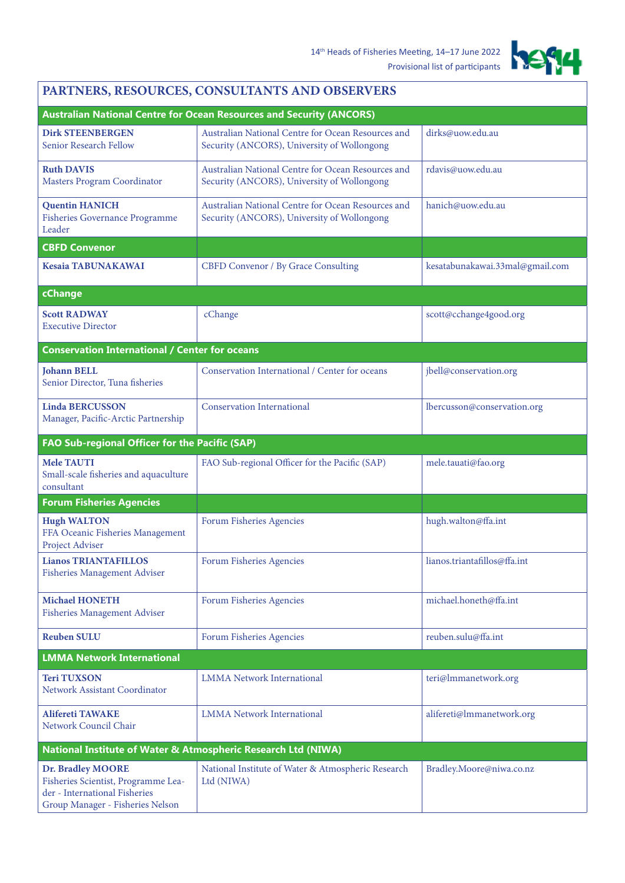

## **PARTNERS, RESOURCES, CONSULTANTS AND OBSERVERS**

|                                                                                                                               | <b>Australian National Centre for Ocean Resources and Security (ANCORS)</b>                       |                                 |
|-------------------------------------------------------------------------------------------------------------------------------|---------------------------------------------------------------------------------------------------|---------------------------------|
| <b>Dirk STEENBERGEN</b><br>Senior Research Fellow                                                                             | Australian National Centre for Ocean Resources and<br>Security (ANCORS), University of Wollongong | dirks@uow.edu.au                |
| <b>Ruth DAVIS</b><br>Masters Program Coordinator                                                                              | Australian National Centre for Ocean Resources and<br>Security (ANCORS), University of Wollongong | rdavis@uow.edu.au               |
| <b>Quentin HANICH</b><br><b>Fisheries Governance Programme</b><br>Leader                                                      | Australian National Centre for Ocean Resources and<br>Security (ANCORS), University of Wollongong | hanich@uow.edu.au               |
| <b>CBFD Convenor</b>                                                                                                          |                                                                                                   |                                 |
| <b>Kesaia TABUNAKAWAI</b>                                                                                                     | <b>CBFD Convenor / By Grace Consulting</b>                                                        | kesatabunakawai.33mal@gmail.com |
| cChange                                                                                                                       |                                                                                                   |                                 |
| <b>Scott RADWAY</b><br><b>Executive Director</b>                                                                              | cChange                                                                                           | scott@cchange4good.org          |
| <b>Conservation International / Center for oceans</b>                                                                         |                                                                                                   |                                 |
| <b>Johann BELL</b><br>Senior Director, Tuna fisheries                                                                         | Conservation International / Center for oceans                                                    | jbell@conservation.org          |
| <b>Linda BERCUSSON</b><br>Manager, Pacific-Arctic Partnership                                                                 | <b>Conservation International</b>                                                                 | lbercusson@conservation.org     |
| FAO Sub-regional Officer for the Pacific (SAP)                                                                                |                                                                                                   |                                 |
| <b>Mele TAUTI</b><br>Small-scale fisheries and aquaculture<br>consultant                                                      | FAO Sub-regional Officer for the Pacific (SAP)                                                    | mele.tauati@fao.org             |
| <b>Forum Fisheries Agencies</b>                                                                                               |                                                                                                   |                                 |
| <b>Hugh WALTON</b><br>FFA Oceanic Fisheries Management<br>Project Adviser                                                     | Forum Fisheries Agencies                                                                          | hugh.walton@ffa.int             |
| <b>Lianos TRIANTAFILLOS</b><br><b>Fisheries Management Adviser</b>                                                            | Forum Fisheries Agencies                                                                          | lianos.triantafillos@ffa.int    |
| <b>Michael HONETH</b><br><b>Fisheries Management Adviser</b>                                                                  | Forum Fisheries Agencies                                                                          | michael.honeth@ffa.int          |
| <b>Reuben SULU</b>                                                                                                            | Forum Fisheries Agencies                                                                          | reuben.sulu@ffa.int             |
| <b>LMMA Network International</b>                                                                                             |                                                                                                   |                                 |
| <b>Teri TUXSON</b><br>Network Assistant Coordinator                                                                           | <b>LMMA</b> Network International                                                                 | teri@lmmanetwork.org            |
| <b>Alifereti TAWAKE</b><br>Network Council Chair                                                                              | <b>LMMA Network International</b>                                                                 | alifereti@lmmanetwork.org       |
| National Institute of Water & Atmospheric Research Ltd (NIWA)                                                                 |                                                                                                   |                                 |
| Dr. Bradley MOORE<br>Fisheries Scientist, Programme Lea-<br>der - International Fisheries<br>Group Manager - Fisheries Nelson | National Institute of Water & Atmospheric Research<br>Ltd (NIWA)                                  | Bradley.Moore@niwa.co.nz        |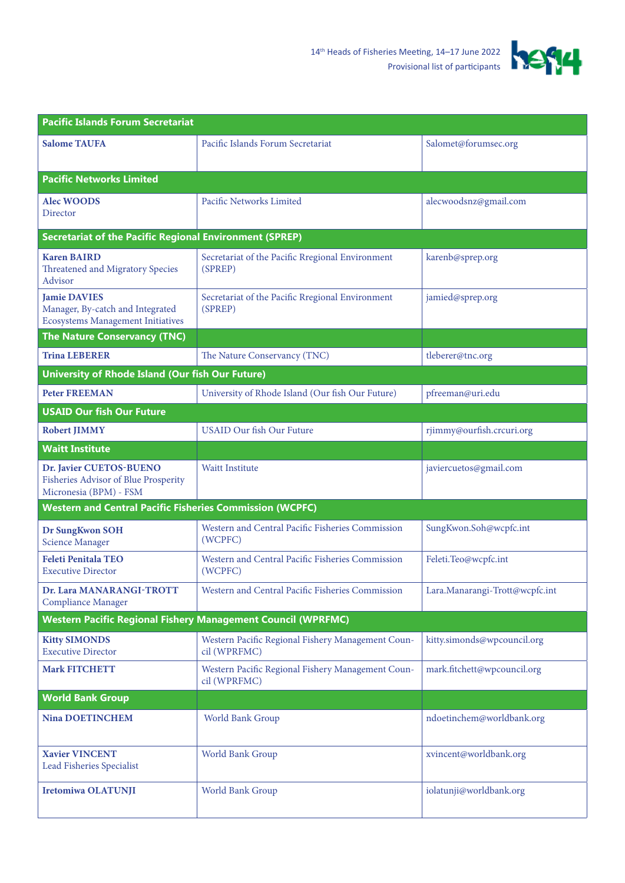

| <b>Pacific Islands Forum Secretariat</b>                                                            |                                                                   |                                |  |
|-----------------------------------------------------------------------------------------------------|-------------------------------------------------------------------|--------------------------------|--|
| <b>Salome TAUFA</b>                                                                                 | Pacific Islands Forum Secretariat                                 | Salomet@forumsec.org           |  |
| <b>Pacific Networks Limited</b>                                                                     |                                                                   |                                |  |
| <b>Alec WOODS</b><br>Director                                                                       | Pacific Networks Limited                                          | alecwoodsnz@gmail.com          |  |
| <b>Secretariat of the Pacific Regional Environment (SPREP)</b>                                      |                                                                   |                                |  |
| <b>Karen BAIRD</b><br><b>Threatened and Migratory Species</b><br>Advisor                            | Secretariat of the Pacific Rregional Environment<br>(SPREP)       | karenb@sprep.org               |  |
| <b>Iamie DAVIES</b><br>Manager, By-catch and Integrated<br><b>Ecosystems Management Initiatives</b> | Secretariat of the Pacific Rregional Environment<br>(SPREP)       | jamied@sprep.org               |  |
| <b>The Nature Conservancy (TNC)</b>                                                                 |                                                                   |                                |  |
| <b>Trina LEBERER</b>                                                                                | The Nature Conservancy (TNC)                                      | tleberer@tnc.org               |  |
| University of Rhode Island (Our fish Our Future)                                                    |                                                                   |                                |  |
| <b>Peter FREEMAN</b>                                                                                | University of Rhode Island (Our fish Our Future)                  | pfreeman@uri.edu               |  |
| <b>USAID Our fish Our Future</b>                                                                    |                                                                   |                                |  |
| <b>Robert JIMMY</b>                                                                                 | <b>USAID Our fish Our Future</b>                                  | rjimmy@ourfish.crcuri.org      |  |
| <b>Waitt Institute</b>                                                                              |                                                                   |                                |  |
| Dr. Javier CUETOS-BUENO<br>Fisheries Advisor of Blue Prosperity<br>Micronesia (BPM) - FSM           | <b>Waitt Institute</b>                                            | javiercuetos@gmail.com         |  |
| <b>Western and Central Pacific Fisheries Commission (WCPFC)</b>                                     |                                                                   |                                |  |
| Dr SungKwon SOH<br><b>Science Manager</b>                                                           | Western and Central Pacific Fisheries Commission<br>(WCPFC)       | SungKwon.Soh@wcpfc.int         |  |
| <b>Feleti Penitala TEO</b><br><b>Executive Director</b>                                             | Western and Central Pacific Fisheries Commission<br>(WCPFC)       | Feleti.Teo@wcpfc.int           |  |
| Dr. Lara MANARANGI-TROTT<br><b>Compliance Manager</b>                                               | Western and Central Pacific Fisheries Commission                  | Lara.Manarangi-Trott@wcpfc.int |  |
| <b>Western Pacific Regional Fishery Management Council (WPRFMC)</b>                                 |                                                                   |                                |  |
| <b>Kitty SIMONDS</b><br><b>Executive Director</b>                                                   | Western Pacific Regional Fishery Management Coun-<br>cil (WPRFMC) | kitty.simonds@wpcouncil.org    |  |
| <b>Mark FITCHETT</b>                                                                                | Western Pacific Regional Fishery Management Coun-<br>cil (WPRFMC) | mark.fitchett@wpcouncil.org    |  |
| <b>World Bank Group</b>                                                                             |                                                                   |                                |  |
| <b>Nina DOETINCHEM</b>                                                                              | World Bank Group                                                  | ndoetinchem@worldbank.org      |  |
| <b>Xavier VINCENT</b><br>Lead Fisheries Specialist                                                  | World Bank Group                                                  | xvincent@worldbank.org         |  |
| Iretomiwa OLATUNJI                                                                                  | World Bank Group                                                  | iolatunji@worldbank.org        |  |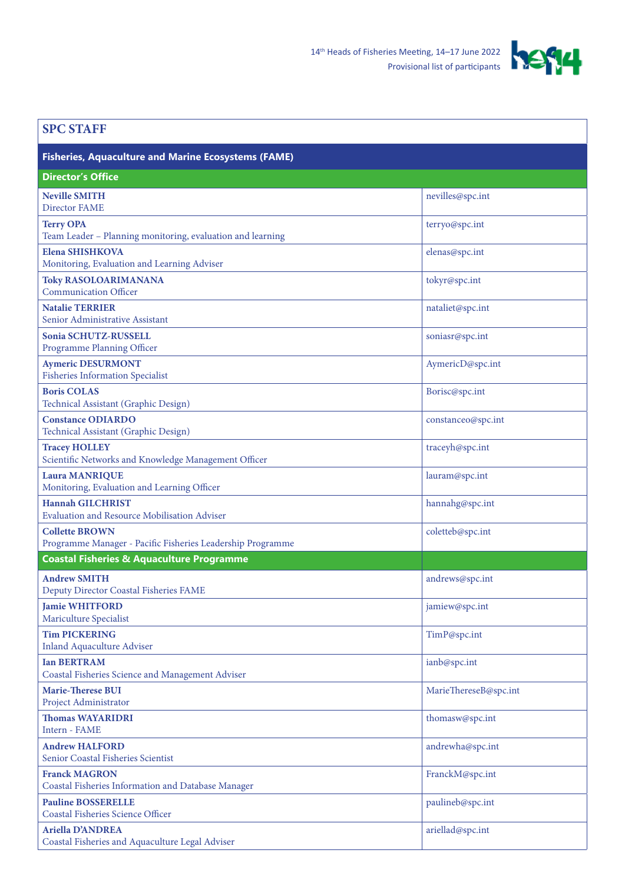

| <b>SPC STAFF</b>                                                                    |                       |
|-------------------------------------------------------------------------------------|-----------------------|
| <b>Fisheries, Aquaculture and Marine Ecosystems (FAME)</b>                          |                       |
| <b>Director's Office</b>                                                            |                       |
| <b>Neville SMITH</b><br>Director FAME                                               | nevilles@spc.int      |
| <b>Terry OPA</b><br>Team Leader - Planning monitoring, evaluation and learning      | terryo@spc.int        |
| <b>Elena SHISHKOVA</b><br>Monitoring, Evaluation and Learning Adviser               | elenas@spc.int        |
| <b>Toky RASOLOARIMANANA</b><br><b>Communication Officer</b>                         | tokyr@spc.int         |
| <b>Natalie TERRIER</b><br>Senior Administrative Assistant                           | nataliet@spc.int      |
| Sonia SCHUTZ-RUSSELL<br>Programme Planning Officer                                  | soniasr@spc.int       |
| <b>Aymeric DESURMONT</b><br><b>Fisheries Information Specialist</b>                 | AymericD@spc.int      |
| <b>Boris COLAS</b><br>Technical Assistant (Graphic Design)                          | Borisc@spc.int        |
| <b>Constance ODIARDO</b><br>Technical Assistant (Graphic Design)                    | constanceo@spc.int    |
| <b>Tracey HOLLEY</b><br>Scientific Networks and Knowledge Management Officer        | traceyh@spc.int       |
| <b>Laura MANRIQUE</b><br>Monitoring, Evaluation and Learning Officer                | lauram@spc.int        |
| <b>Hannah GILCHRIST</b><br><b>Evaluation and Resource Mobilisation Adviser</b>      | hannahg@spc.int       |
| <b>Collette BROWN</b><br>Programme Manager - Pacific Fisheries Leadership Programme | coletteb@spc.int      |
| <b>Coastal Fisheries &amp; Aquaculture Programme</b>                                |                       |
| <b>Andrew SMITH</b><br>Deputy Director Coastal Fisheries FAME                       | andrews@spc.int       |
| <b>Jamie WHITFORD</b><br>Mariculture Specialist                                     | jamiew@spc.int        |
| <b>Tim PICKERING</b><br><b>Inland Aquaculture Adviser</b>                           | TimP@spc.int          |
| <b>Ian BERTRAM</b><br>Coastal Fisheries Science and Management Adviser              | ianb@spc.int          |
| <b>Marie-Therese BUI</b><br>Project Administrator                                   | MarieThereseB@spc.int |
| <b>Thomas WAYARIDRI</b><br>Intern - FAME                                            | thomasw@spc.int       |
| <b>Andrew HALFORD</b><br>Senior Coastal Fisheries Scientist                         | andrewha@spc.int      |
| <b>Franck MAGRON</b><br>Coastal Fisheries Information and Database Manager          | FranckM@spc.int       |
| <b>Pauline BOSSERELLE</b><br><b>Coastal Fisheries Science Officer</b>               | paulineb@spc.int      |
| <b>Ariella D'ANDREA</b><br>Coastal Fisheries and Aquaculture Legal Adviser          | ariellad@spc.int      |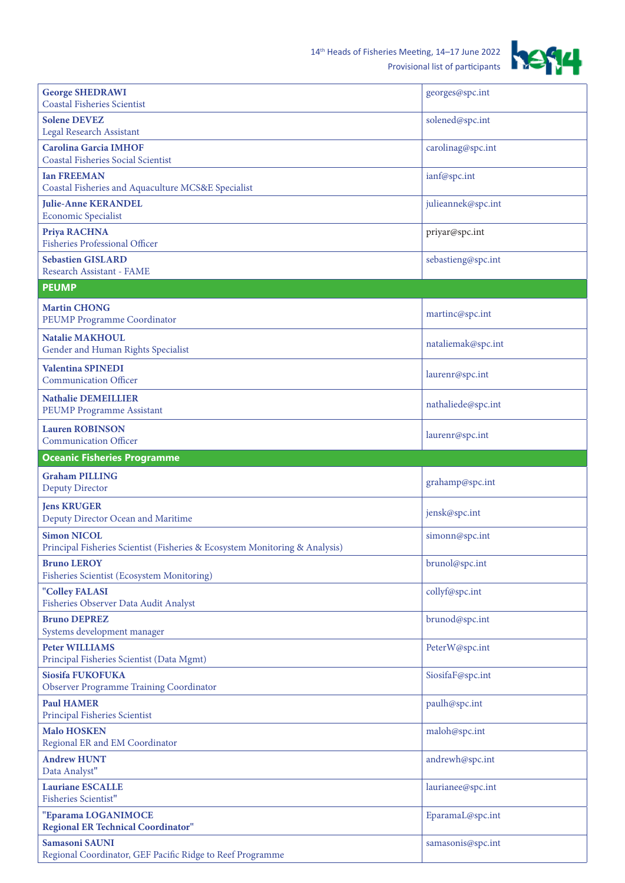

| <b>George SHEDRAWI</b><br><b>Coastal Fisheries Scientist</b>                                      | georges@spc.int    |
|---------------------------------------------------------------------------------------------------|--------------------|
| <b>Solene DEVEZ</b><br><b>Legal Research Assistant</b>                                            | solened@spc.int    |
| <b>Carolina Garcia IMHOF</b><br><b>Coastal Fisheries Social Scientist</b>                         | carolinag@spc.int  |
| <b>Ian FREEMAN</b><br>Coastal Fisheries and Aquaculture MCS&E Specialist                          | ianf@spc.int       |
| <b>Julie-Anne KERANDEL</b><br><b>Economic Specialist</b>                                          | julieannek@spc.int |
| Priya RACHNA<br><b>Fisheries Professional Officer</b>                                             | priyar@spc.int     |
| <b>Sebastien GISLARD</b><br>Research Assistant - FAME                                             | sebastieng@spc.int |
| <b>PEUMP</b>                                                                                      |                    |
| <b>Martin CHONG</b><br>PEUMP Programme Coordinator                                                | martinc@spc.int    |
| <b>Natalie MAKHOUL</b><br>Gender and Human Rights Specialist                                      | nataliemak@spc.int |
| <b>Valentina SPINEDI</b><br><b>Communication Officer</b>                                          | laurenr@spc.int    |
| <b>Nathalie DEMEILLIER</b><br><b>PEUMP Programme Assistant</b>                                    | nathaliede@spc.int |
| <b>Lauren ROBINSON</b><br><b>Communication Officer</b>                                            | laurenr@spc.int    |
| <b>Oceanic Fisheries Programme</b>                                                                |                    |
| <b>Graham PILLING</b><br><b>Deputy Director</b>                                                   | grahamp@spc.int    |
| <b>Jens KRUGER</b><br>Deputy Director Ocean and Maritime                                          | jensk@spc.int      |
| <b>Simon NICOL</b><br>Principal Fisheries Scientist (Fisheries & Ecosystem Monitoring & Analysis) | simonn@spc.int     |
| <b>Bruno LEROY</b><br><b>Fisheries Scientist (Ecosystem Monitoring)</b>                           | brunol@spc.int     |
| "Colley FALASI<br>Fisheries Observer Data Audit Analyst                                           | collyf@spc.int     |
| <b>Bruno DEPREZ</b><br>Systems development manager                                                | brunod@spc.int     |
| <b>Peter WILLIAMS</b><br>Principal Fisheries Scientist (Data Mgmt)                                | PeterW@spc.int     |
| Siosifa FUKOFUKA<br><b>Observer Programme Training Coordinator</b>                                | SiosifaF@spc.int   |
| <b>Paul HAMER</b><br>Principal Fisheries Scientist                                                | paulh@spc.int      |
| <b>Malo HOSKEN</b><br>Regional ER and EM Coordinator                                              | maloh@spc.int      |
| <b>Andrew HUNT</b><br>Data Analyst"                                                               | andrewh@spc.int    |
| <b>Lauriane ESCALLE</b><br><b>Fisheries Scientist"</b>                                            | laurianee@spc.int  |
| "Eparama LOGANIMOCE<br><b>Regional ER Technical Coordinator"</b>                                  | EparamaL@spc.int   |
| Samasoni SAUNI<br>Regional Coordinator, GEF Pacific Ridge to Reef Programme                       | samasonis@spc.int  |

J.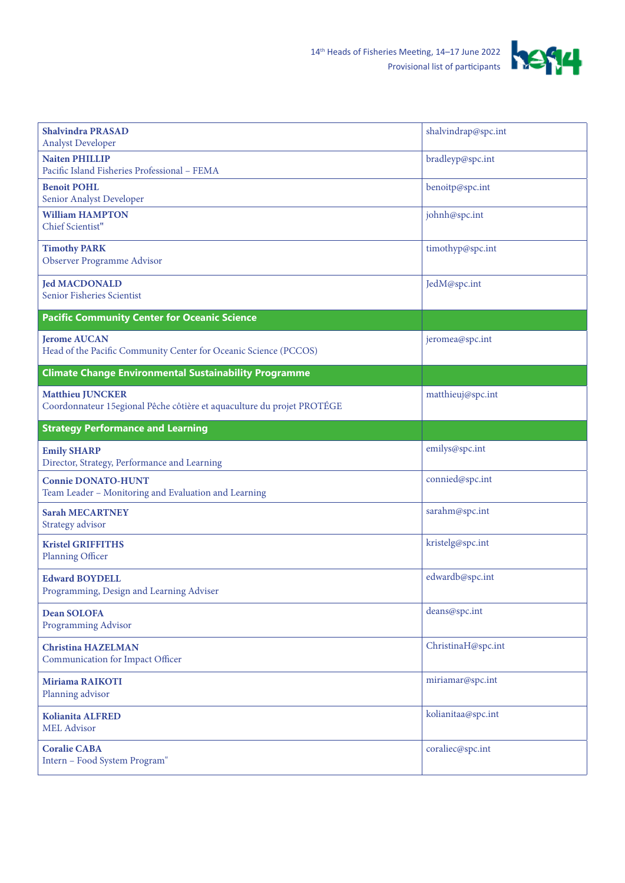

| <b>Shalvindra PRASAD</b><br><b>Analyst Developer</b>                                               | shalvindrap@spc.int |
|----------------------------------------------------------------------------------------------------|---------------------|
| <b>Naiten PHILLIP</b><br>Pacific Island Fisheries Professional - FEMA                              | bradleyp@spc.int    |
| <b>Benoit POHL</b><br>Senior Analyst Developer                                                     | benoitp@spc.int     |
| <b>William HAMPTON</b><br>Chief Scientist"                                                         | johnh@spc.int       |
| <b>Timothy PARK</b><br>Observer Programme Advisor                                                  | timothyp@spc.int    |
| <b>Jed MACDONALD</b><br>Senior Fisheries Scientist                                                 | JedM@spc.int        |
| <b>Pacific Community Center for Oceanic Science</b>                                                |                     |
| <b>Jerome AUCAN</b><br>Head of the Pacific Community Center for Oceanic Science (PCCOS)            | jeromea@spc.int     |
| <b>Climate Change Environmental Sustainability Programme</b>                                       |                     |
| <b>Matthieu JUNCKER</b><br>Coordonnateur 15 egional Pêche côtière et aquaculture du projet PROTÉGE | matthieuj@spc.int   |
| <b>Strategy Performance and Learning</b>                                                           |                     |
| <b>Emily SHARP</b><br>Director, Strategy, Performance and Learning                                 | emilys@spc.int      |
| <b>Connie DONATO-HUNT</b><br>Team Leader - Monitoring and Evaluation and Learning                  | connied@spc.int     |
| <b>Sarah MECARTNEY</b><br>Strategy advisor                                                         | sarahm@spc.int      |
| <b>Kristel GRIFFITHS</b><br>Planning Officer                                                       | kristelg@spc.int    |
| <b>Edward BOYDELL</b><br>Programming, Design and Learning Adviser                                  | edwardb@spc.int     |
| <b>Dean SOLOFA</b><br><b>Programming Advisor</b>                                                   | deans@spc.int       |
| <b>Christina HAZELMAN</b><br>Communication for Impact Officer                                      | ChristinaH@spc.int  |
| <b>Miriama RAIKOTI</b><br>Planning advisor                                                         | miriamar@spc.int    |
| <b>Kolianita ALFRED</b><br><b>MEL Advisor</b>                                                      | kolianitaa@spc.int  |
| <b>Coralie CABA</b><br>Intern - Food System Program"                                               | coraliec@spc.int    |